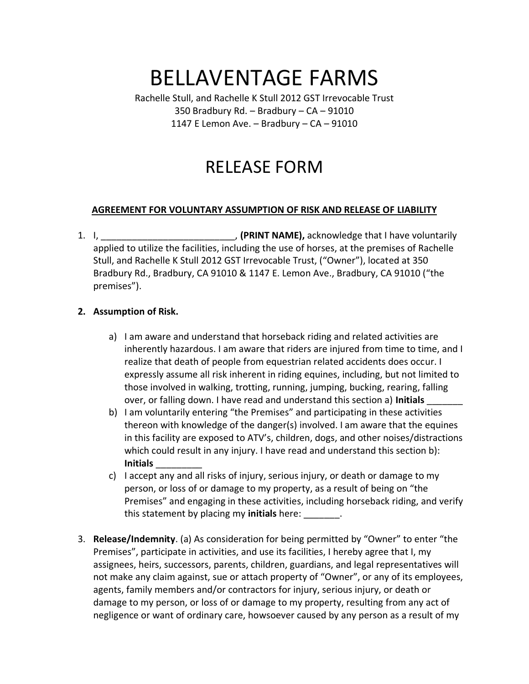# BELLAVENTAGE FARMS

Rachelle Stull, and Rachelle K Stull 2012 GST Irrevocable Trust 350 Bradbury Rd. – Bradbury – CA – 91010 1147 E Lemon Ave. – Bradbury – CA – 91010

## RELEASE FORM

#### **AGREEMENT FOR VOLUNTARY ASSUMPTION OF RISK AND RELEASE OF LIABILITY**

1. I, \_\_\_\_\_\_\_\_\_\_\_\_\_\_\_\_\_\_\_\_\_\_\_\_\_\_, **(PRINT NAME),** acknowledge that I have voluntarily applied to utilize the facilities, including the use of horses, at the premises of Rachelle Stull, and Rachelle K Stull 2012 GST Irrevocable Trust, ("Owner"), located at 350 Bradbury Rd., Bradbury, CA 91010 & 1147 E. Lemon Ave., Bradbury, CA 91010 ("the premises").

#### **2. Assumption of Risk.**

- a) I am aware and understand that horseback riding and related activities are inherently hazardous. I am aware that riders are injured from time to time, and I realize that death of people from equestrian related accidents does occur. I expressly assume all risk inherent in riding equines, including, but not limited to those involved in walking, trotting, running, jumping, bucking, rearing, falling over, or falling down. I have read and understand this section a) **Initials** \_\_\_\_\_\_\_
- b) I am voluntarily entering "the Premises" and participating in these activities thereon with knowledge of the danger(s) involved. I am aware that the equines in this facility are exposed to ATV's, children, dogs, and other noises/distractions which could result in any injury. I have read and understand this section b): **Initials** \_\_\_\_\_\_\_\_\_
- c) I accept any and all risks of injury, serious injury, or death or damage to my person, or loss of or damage to my property, as a result of being on "the Premises" and engaging in these activities, including horseback riding, and verify this statement by placing my **initials** here: \_\_\_\_\_\_\_.
- 3. **Release/Indemnity**. (a) As consideration for being permitted by "Owner" to enter "the Premises", participate in activities, and use its facilities, I hereby agree that I, my assignees, heirs, successors, parents, children, guardians, and legal representatives will not make any claim against, sue or attach property of "Owner", or any of its employees, agents, family members and/or contractors for injury, serious injury, or death or damage to my person, or loss of or damage to my property, resulting from any act of negligence or want of ordinary care, howsoever caused by any person as a result of my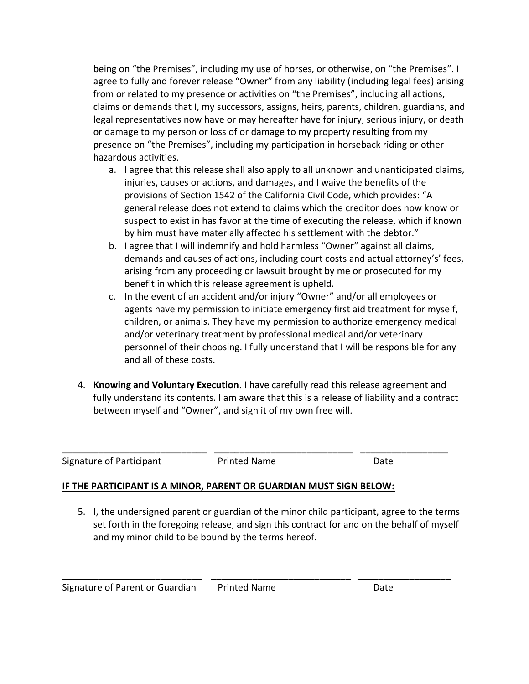being on "the Premises", including my use of horses, or otherwise, on "the Premises". I agree to fully and forever release "Owner" from any liability (including legal fees) arising from or related to my presence or activities on "the Premises", including all actions, claims or demands that I, my successors, assigns, heirs, parents, children, guardians, and legal representatives now have or may hereafter have for injury, serious injury, or death or damage to my person or loss of or damage to my property resulting from my presence on "the Premises", including my participation in horseback riding or other hazardous activities.

- a. I agree that this release shall also apply to all unknown and unanticipated claims, injuries, causes or actions, and damages, and I waive the benefits of the provisions of Section 1542 of the California Civil Code, which provides: "A general release does not extend to claims which the creditor does now know or suspect to exist in has favor at the time of executing the release, which if known by him must have materially affected his settlement with the debtor."
- b. I agree that I will indemnify and hold harmless "Owner" against all claims, demands and causes of actions, including court costs and actual attorney's' fees, arising from any proceeding or lawsuit brought by me or prosecuted for my benefit in which this release agreement is upheld.
- c. In the event of an accident and/or injury "Owner" and/or all employees or agents have my permission to initiate emergency first aid treatment for myself, children, or animals. They have my permission to authorize emergency medical and/or veterinary treatment by professional medical and/or veterinary personnel of their choosing. I fully understand that I will be responsible for any and all of these costs.
- 4. **Knowing and Voluntary Execution**. I have carefully read this release agreement and fully understand its contents. I am aware that this is a release of liability and a contract between myself and "Owner", and sign it of my own free will.

Signature of Participant **Printed Name** Date Date

\_\_\_\_\_\_\_\_\_\_\_\_\_\_\_\_\_\_\_\_\_\_\_\_\_\_\_\_ \_\_\_\_\_\_\_\_\_\_\_\_\_\_\_\_\_\_\_\_\_\_\_\_\_\_\_ \_\_\_\_\_\_\_\_\_\_\_\_\_\_\_\_\_

### **IF THE PARTICIPANT IS A MINOR, PARENT OR GUARDIAN MUST SIGN BELOW:**

5. I, the undersigned parent or guardian of the minor child participant, agree to the terms set forth in the foregoing release, and sign this contract for and on the behalf of myself and my minor child to be bound by the terms hereof.

\_\_\_\_\_\_\_\_\_\_\_\_\_\_\_\_\_\_\_\_\_\_\_\_\_\_\_ \_\_\_\_\_\_\_\_\_\_\_\_\_\_\_\_\_\_\_\_\_\_\_\_\_\_\_ \_\_\_\_\_\_\_\_\_\_\_\_\_\_\_\_\_\_